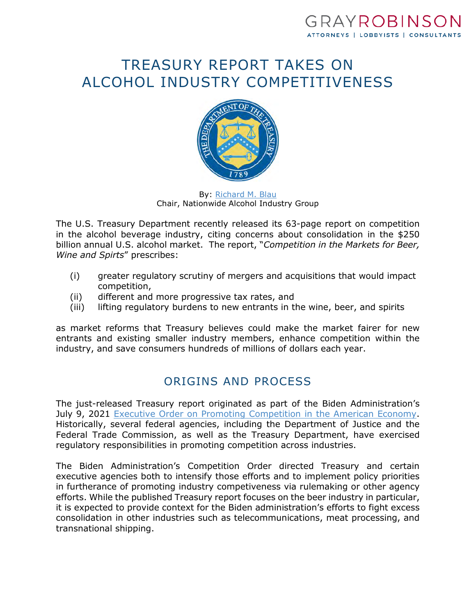## GRAYROBINSON ATTORNEYS | LOBBYISTS | CONSULTANTS

# TREASURY REPORT TAKES ON ALCOHOL INDUSTRY COMPETITIVENESS



By: [Richard M. Blau](https://www.gray-robinson.com/attorneys-professionals/richard-m-blau) Chair, Nationwide Alcohol Industry Group

The U.S. Treasury Department recently released its 63-page report on competition in the alcohol beverage industry, citing concerns about consolidation in the \$250 billion annual U.S. alcohol market. The report, "*Competition in the Markets for Beer, Wine and Spirts*" prescribes:

- (i) greater regulatory scrutiny of mergers and acquisitions that would impact competition,
- (ii) different and more progressive tax rates, and
- (iii) lifting regulatory burdens to new entrants in the wine, beer, and spirits

as market reforms that Treasury believes could make the market fairer for new entrants and existing smaller industry members, enhance competition within the industry, and save consumers hundreds of millions of dollars each year.

## ORIGINS AND PROCESS

The just-released Treasury report originated as part of the Biden Administration's July 9, 2021 [Executive Order on Promoting Competition in the American Economy.](https://www.whitehouse.gov/briefing-room/presidential-actions/2021/07/09/executive-order-on-promoting-competition-in-the-american-economy/) Historically, several federal agencies, including the Department of Justice and the Federal Trade Commission, as well as the Treasury Department, have exercised regulatory responsibilities in promoting competition across industries.

The Biden Administration's Competition Order directed Treasury and certain executive agencies both to intensify those efforts and to implement policy priorities in furtherance of promoting industry competiveness via rulemaking or other agency efforts. While the published Treasury report focuses on the beer industry in particular, it is expected to provide context for the Biden administration's efforts to fight excess consolidation in other industries such as telecommunications, meat processing, and transnational shipping.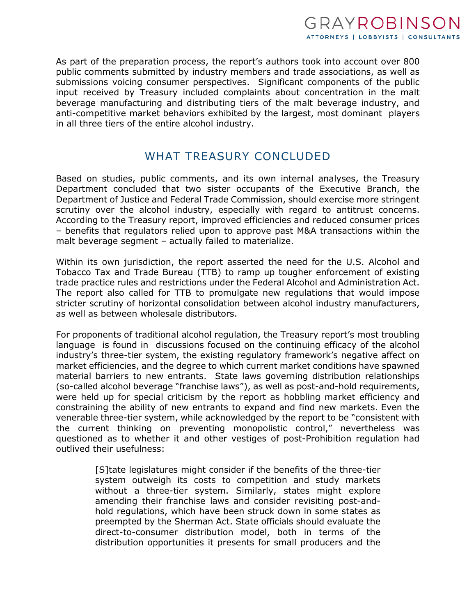As part of the preparation process, the report's authors took into account over 800 public comments submitted by industry members and trade associations, as well as submissions voicing consumer perspectives. Significant components of the public input received by Treasury included complaints about concentration in the malt beverage manufacturing and distributing tiers of the malt beverage industry, and anti-competitive market behaviors exhibited by the largest, most dominant players in all three tiers of the entire alcohol industry.

### WHAT TREASURY CONCLUDED

Based on studies, public comments, and its own internal analyses, the Treasury Department concluded that two sister occupants of the Executive Branch, the Department of Justice and Federal Trade Commission, should exercise more stringent scrutiny over the alcohol industry, especially with regard to antitrust concerns. According to the Treasury report, improved efficiencies and reduced consumer prices – benefits that regulators relied upon to approve past M&A transactions within the malt beverage segment – actually failed to materialize.

Within its own jurisdiction, the report asserted the need for the U.S. Alcohol and Tobacco Tax and Trade Bureau (TTB) to ramp up tougher enforcement of existing trade practice rules and restrictions under the Federal Alcohol and Administration Act. The report also called for TTB to promulgate new regulations that would impose stricter scrutiny of horizontal consolidation between alcohol industry manufacturers, as well as between wholesale distributors.

For proponents of traditional alcohol regulation, the Treasury report's most troubling language is found in discussions focused on the continuing efficacy of the alcohol industry's three-tier system, the existing regulatory framework's negative affect on market efficiencies, and the degree to which current market conditions have spawned material barriers to new entrants. State laws governing distribution relationships (so-called alcohol beverage "franchise laws"), as well as post-and-hold requirements, were held up for special criticism by the report as hobbling market efficiency and constraining the ability of new entrants to expand and find new markets. Even the venerable three-tier system, while acknowledged by the report to be "consistent with the current thinking on preventing monopolistic control," nevertheless was questioned as to whether it and other vestiges of post-Prohibition regulation had outlived their usefulness:

> [S]tate legislatures might consider if the benefits of the three-tier system outweigh its costs to competition and study markets without a three-tier system. Similarly, states might explore amending their franchise laws and consider revisiting post-andhold regulations, which have been struck down in some states as preempted by the Sherman Act. State officials should evaluate the direct-to-consumer distribution model, both in terms of the distribution opportunities it presents for small producers and the